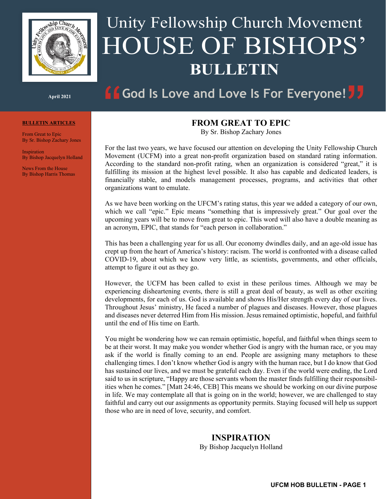

# Unity Fellowship Church Movement HOUSE OF BISHOPS' **BULLETIN**

**God Is Love and Love Is For Everyone!** 

#### **April 2021**

#### **BULLETIN ARTICLES**

From Great to Epic By Sr. Bishop Zachary Jones

**Inspiration** By Bishop Jacquelyn Holland

News From the House By Bishop Harris Thomas

# **FROM GREAT TO EPIC**

By Sr. Bishop Zachary Jones

For the last two years, we have focused our attention on developing the Unity Fellowship Church Movement (UCFM) into a great non-profit organization based on standard rating information. According to the standard non-profit rating, when an organization is considered "great," it is fulfilling its mission at the highest level possible. It also has capable and dedicated leaders, is financially stable, and models management processes, programs, and activities that other organizations want to emulate.

As we have been working on the UFCM's rating status, this year we added a category of our own, which we call "epic." Epic means "something that is impressively great." Our goal over the upcoming years will be to move from great to epic. This word will also have a double meaning as an acronym, EPIC, that stands for "each person in collaboration."

This has been a challenging year for us all. Our economy dwindles daily, and an age-old issue has crept up from the heart of America's history: racism. The world is confronted with a disease called COVID-19, about which we know very little, as scientists, governments, and other officials, attempt to figure it out as they go.

However, the UCFM has been called to exist in these perilous times. Although we may be experiencing disheartening events, there is still a great deal of beauty, as well as other exciting developments, for each of us. God is available and shows His/Her strength every day of our lives. Throughout Jesus' ministry, He faced a number of plagues and diseases. However, those plagues and diseases never deterred Him from His mission. Jesus remained optimistic, hopeful, and faithful until the end of His time on Earth.

You might be wondering how we can remain optimistic, hopeful, and faithful when things seem to be at their worst. It may make you wonder whether God is angry with the human race, or you may ask if the world is finally coming to an end. People are assigning many metaphors to these challenging times. I don't know whether God is angry with the human race, but I do know that God has sustained our lives, and we must be grateful each day. Even if the world were ending, the Lord said to us in scripture, "Happy are those servants whom the master finds fulfilling their responsibilities when he comes." [Matt 24:46, CEB] This means we should be working on our divine purpose in life. We may contemplate all that is going on in the world; however, we are challenged to stay faithful and carry out our assignments as opportunity permits. Staying focused will help us support those who are in need of love, security, and comfort.

# **INSPIRATION**

By Bishop Jacquelyn Holland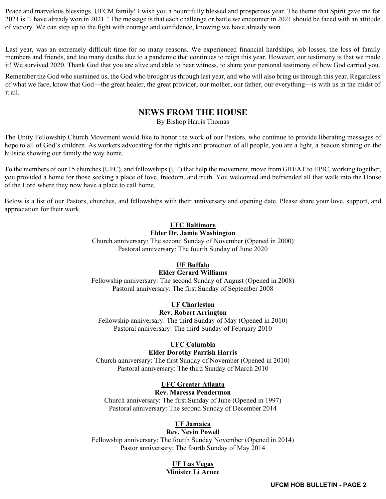Peace and marvelous blessings, UFCM family! I wish you a bountifully blessed and prosperous year. The theme that Spirit gave me for 2021 is "I have already won in 2021." The message is that each challenge or battle we encounter in 2021 should be faced with an attitude of victory. We can step up to the fight with courage and confidence, knowing we have already won.

Last year, was an extremely difficult time for so many reasons. We experienced financial hardships, job losses, the loss of family members and friends, and too many deaths due to a pandemic that continues to reign this year. However, our testimony is that we made it! We survived 2020. Thank God that you are alive and able to bear witness, to share your personal testimony of how God carried you.

Remember the God who sustained us, the God who brought us through last year, and who will also bring us through this year. Regardless of what we face, know that God—the great healer, the great provider, our mother, our father, our everything—is with us in the midst of it all.

# **NEWS FROM THE HOUSE**

By Bishop Harris Thomas

The Unity Fellowship Church Movement would like to honor the work of our Pastors, who continue to provide liberating messages of hope to all of God's children. As workers advocating for the rights and protection of all people, you are a light, a beacon shining on the hillside showing our family the way home.

To the members of our 15 churches (UFC), and fellowships (UF) that help the movement, move from GREAT to EPIC, working together, you provided a home for those seeking a place of love, freedom, and truth. You welcomed and befriended all that walk into the House of the Lord where they now have a place to call home.

Below is a list of our Pastors, churches, and fellowships with their anniversary and opening date. Please share your love, support, and appreciation for their work.

# **UFC Baltimore**

## **Elder Dr. Jamie Washington**

Church anniversary: The second Sunday of November (Opened in 2000) Pastoral anniversary: The fourth Sunday of June 2020

# **UF Buffalo**

# **Elder Gerard Williams**

Fellowship anniversary: The second Sunday of August (Opened in 2008) Pastoral anniversary: The first Sunday of September 2008

# **UF Charleston**

#### **Rev. Robert Arrington**

Fellowship anniversary: The third Sunday of May (Opened in 2010) Pastoral anniversary: The third Sunday of February 2010

# **UFC Columbia**

#### **Elder Dorothy Parrish Harris**

Church anniversary: The first Sunday of November (Opened in 2010) Pastoral anniversary: The third Sunday of March 2010

# **UFC Greater Atlanta**

#### **Rev. Maressa Pendermon**

Church anniversary: The first Sunday of June (Opened in 1997) Pastoral anniversary: The second Sunday of December 2014

# **UF Jamaica**

# **Rev. Nevin Powell**

Fellowship anniversary: The fourth Sunday November (Opened in 2014) Pastor anniversary: The fourth Sunday of May 2014

#### **UF Las Vegas Minister Li Arnee**